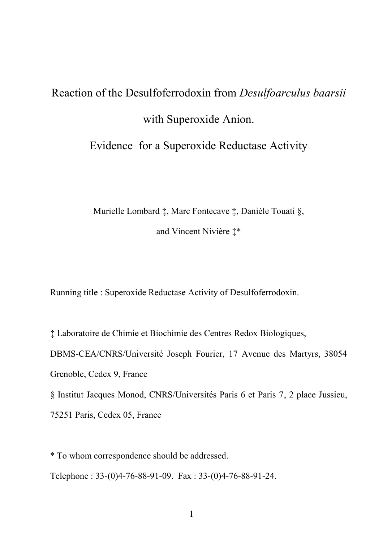# Reaction of the Desulfoferrodoxin from *Desulfoarculus baarsii* with Superoxide Anion. Evidence for a Superoxide Reductase Activity

Murielle Lombard ‡, Marc Fontecave ‡, Danièle Touati §, and Vincent Nivière ‡\*

Running title : Superoxide Reductase Activity of Desulfoferrodoxin.

‡ Laboratoire de Chimie et Biochimie des Centres Redox Biologiques,

DBMS-CEA/CNRS/Université Joseph Fourier, 17 Avenue des Martyrs, 38054

Grenoble, Cedex 9, France

§ Institut Jacques Monod, CNRS/Universités Paris 6 et Paris 7, 2 place Jussieu,

75251 Paris, Cedex 05, France

\* To whom correspondence should be addressed.

Telephone : 33-(0)4-76-88-91-09. Fax : 33-(0)4-76-88-91-24.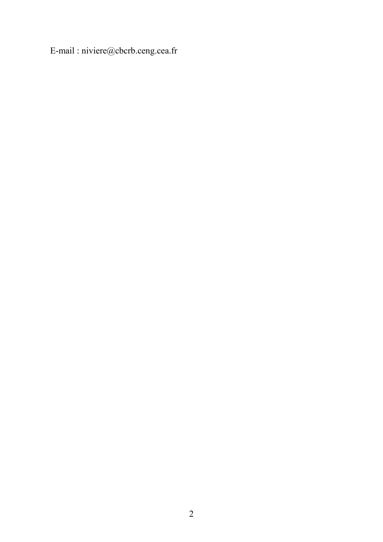E-mail : niviere@cbcrb.ceng.cea.fr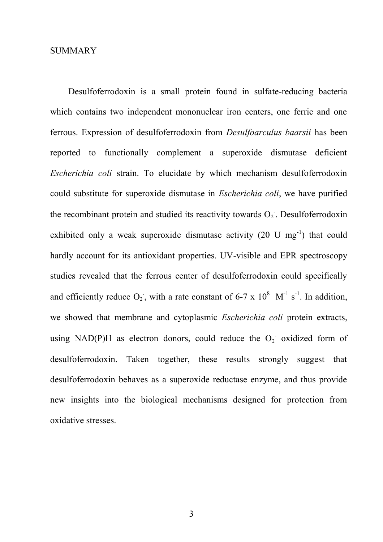#### **SUMMARY**

Desulfoferrodoxin is a small protein found in sulfate-reducing bacteria which contains two independent mononuclear iron centers, one ferric and one ferrous. Expression of desulfoferrodoxin from *Desulfoarculus baarsii* has been reported to functionally complement a superoxide dismutase deficient *Escherichia coli* strain. To elucidate by which mechanism desulfoferrodoxin could substitute for superoxide dismutase in *Escherichia coli*, we have purified the recombinant protein and studied its reactivity towards  $O_2$ . Desulfoferrodoxin exhibited only a weak superoxide dismutase activity  $(20 \text{ U mg}^{-1})$  that could hardly account for its antioxidant properties. UV-visible and EPR spectroscopy studies revealed that the ferrous center of desulfoferrodoxin could specifically and efficiently reduce  $O_2$ , with a rate constant of 6-7 x  $10^8$  M<sup>-1</sup> s<sup>-1</sup>. In addition, we showed that membrane and cytoplasmic *Escherichia coli* protein extracts, using NAD(P)H as electron donors, could reduce the  $O_2$  oxidized form of desulfoferrodoxin. Taken together, these results strongly suggest that desulfoferrodoxin behaves as a superoxide reductase enzyme, and thus provide new insights into the biological mechanisms designed for protection from oxidative stresses.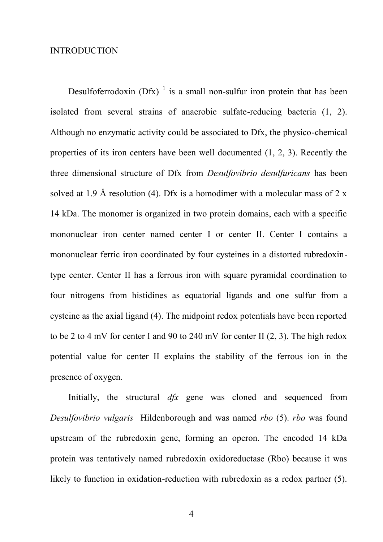#### INTRODUCTION

Desulfoferrodoxin (Dfx)  $\frac{1}{1}$  is a small non-sulfur iron protein that has been isolated from several strains of anaerobic sulfate-reducing bacteria (1, 2). Although no enzymatic activity could be associated to Dfx, the physico-chemical properties of its iron centers have been well documented (1, 2, 3). Recently the three dimensional structure of Dfx from *Desulfovibrio desulfuricans* has been solved at 1.9 Å resolution (4). Dfx is a homodimer with a molecular mass of 2 x 14 kDa. The monomer is organized in two protein domains, each with a specific mononuclear iron center named center I or center II. Center I contains a mononuclear ferric iron coordinated by four cysteines in a distorted rubredoxintype center. Center II has a ferrous iron with square pyramidal coordination to four nitrogens from histidines as equatorial ligands and one sulfur from a cysteine as the axial ligand (4). The midpoint redox potentials have been reported to be 2 to 4 mV for center I and 90 to 240 mV for center II (2, 3). The high redox potential value for center II explains the stability of the ferrous ion in the presence of oxygen.

Initially, the structural *dfx* gene was cloned and sequenced from *Desulfovibrio vulgaris* Hildenborough and was named *rbo* (5). *rbo* was found upstream of the rubredoxin gene, forming an operon. The encoded 14 kDa protein was tentatively named rubredoxin oxidoreductase (Rbo) because it was likely to function in oxidation-reduction with rubredoxin as a redox partner (5).

4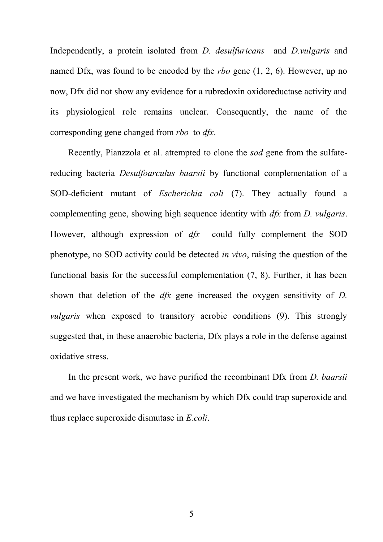Independently, a protein isolated from *D. desulfuricans* and *D.vulgaris* and named Dfx, was found to be encoded by the *rbo* gene (1, 2, 6). However, up no now, Dfx did not show any evidence for a rubredoxin oxidoreductase activity and its physiological role remains unclear. Consequently, the name of the corresponding gene changed from *rbo* to *dfx*.

Recently, Pianzzola et al. attempted to clone the *sod* gene from the sulfatereducing bacteria *Desulfoarculus baarsii* by functional complementation of a SOD-deficient mutant of *Escherichia coli* (7). They actually found a complementing gene, showing high sequence identity with *dfx* from *D. vulgaris*. However, although expression of *dfx* could fully complement the SOD phenotype, no SOD activity could be detected *in vivo*, raising the question of the functional basis for the successful complementation (7, 8). Further, it has been shown that deletion of the *dfx* gene increased the oxygen sensitivity of *D. vulgaris* when exposed to transitory aerobic conditions (9). This strongly suggested that, in these anaerobic bacteria, Dfx plays a role in the defense against oxidative stress.

In the present work, we have purified the recombinant Dfx from *D. baarsii* and we have investigated the mechanism by which Dfx could trap superoxide and thus replace superoxide dismutase in *E.coli*.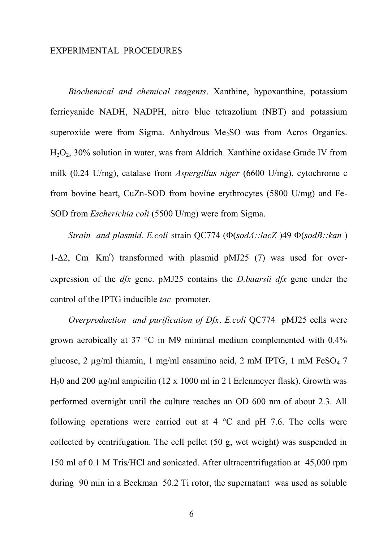#### EXPERIMENTAL PROCEDURES

*Biochemical and chemical reagents*. Xanthine, hypoxanthine, potassium ferricyanide NADH, NADPH, nitro blue tetrazolium (NBT) and potassium superoxide were from Sigma. Anhydrous  $Me<sub>2</sub>SO$  was from Acros Organics.  $H_2O_2$ , 30% solution in water, was from Aldrich. Xanthine oxidase Grade IV from milk (0.24 U/mg), catalase from *Aspergillus niger* (6600 U/mg), cytochrome c from bovine heart, CuZn-SOD from bovine erythrocytes (5800 U/mg) and Fe-SOD from *Escherichia coli* (5500 U/mg) were from Sigma.

*Strain and plasmid. E.coli* strain QC774 ( $\Phi(sodA::lacZ)$ 49  $\Phi(sodB::kan)$ )  $1-\Delta2$ , Cm<sup>r</sup> Km<sup>r</sup>) transformed with plasmid pMJ25 (7) was used for overexpression of the *dfx* gene. pMJ25 contains the *D.baarsii dfx* gene under the control of the IPTG inducible *tac* promoter.

*Overproduction and purification of Dfx*. *E.coli* QC774 pMJ25 cells were grown aerobically at 37 °C in M9 minimal medium complemented with 0.4% glucose, 2 μg/ml thiamin, 1 mg/ml casamino acid, 2 mM IPTG, 1 mM FeSO<sub>4</sub> 7 H<sub>2</sub>0 and 200  $\mu$ g/ml ampicilin (12 x 1000 ml in 2 l Erlenmeyer flask). Growth was performed overnight until the culture reaches an OD 600 nm of about 2.3. All following operations were carried out at 4 °C and pH 7.6. The cells were collected by centrifugation. The cell pellet (50 g, wet weight) was suspended in 150 ml of 0.1 M Tris/HCl and sonicated. After ultracentrifugation at 45,000 rpm during 90 min in a Beckman 50.2 Ti rotor, the supernatant was used as soluble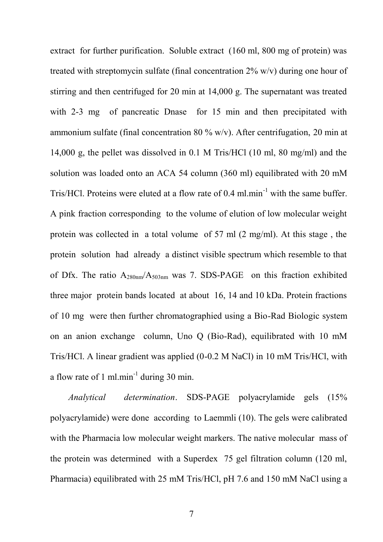extract for further purification. Soluble extract (160 ml, 800 mg of protein) was treated with streptomycin sulfate (final concentration 2% w/v) during one hour of stirring and then centrifuged for 20 min at 14,000 g. The supernatant was treated with 2-3 mg of pancreatic Dnase for 15 min and then precipitated with ammonium sulfate (final concentration 80 % w/v). After centrifugation, 20 min at 14,000 g, the pellet was dissolved in 0.1 M Tris/HCl (10 ml, 80 mg/ml) and the solution was loaded onto an ACA 54 column (360 ml) equilibrated with 20 mM Tris/HCl. Proteins were eluted at a flow rate of 0.4 ml.min<sup>-1</sup> with the same buffer. A pink fraction corresponding to the volume of elution of low molecular weight protein was collected in a total volume of 57 ml (2 mg/ml). At this stage , the protein solution had already a distinct visible spectrum which resemble to that of Dfx. The ratio A280nm/A503nm was 7. SDS-PAGE on this fraction exhibited three major protein bands located at about 16, 14 and 10 kDa. Protein fractions of 10 mg were then further chromatographied using a Bio-Rad Biologic system on an anion exchange column, Uno Q (Bio-Rad), equilibrated with 10 mM Tris/HCl. A linear gradient was applied (0-0.2 M NaCl) in 10 mM Tris/HCl, with a flow rate of 1 ml.min<sup>-1</sup> during 30 min.

*Analytical determination*. SDS-PAGE polyacrylamide gels (15% polyacrylamide) were done according to Laemmli (10). The gels were calibrated with the Pharmacia low molecular weight markers. The native molecular mass of the protein was determined with a Superdex 75 gel filtration column (120 ml, Pharmacia) equilibrated with 25 mM Tris/HCl, pH 7.6 and 150 mM NaCl using a

7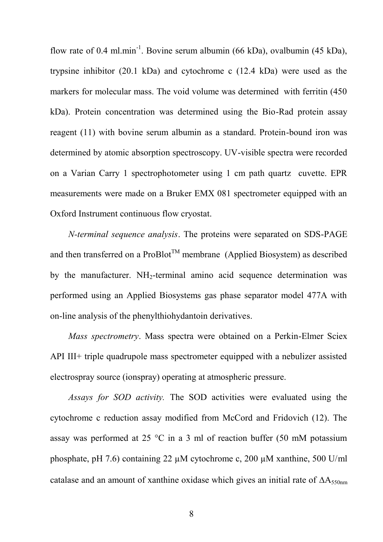flow rate of 0.4 ml.min<sup>-1</sup>. Bovine serum albumin (66 kDa), ovalbumin (45 kDa), trypsine inhibitor (20.1 kDa) and cytochrome c (12.4 kDa) were used as the markers for molecular mass. The void volume was determined with ferritin (450 kDa). Protein concentration was determined using the Bio-Rad protein assay reagent (11) with bovine serum albumin as a standard. Protein-bound iron was determined by atomic absorption spectroscopy. UV-visible spectra were recorded on a Varian Carry 1 spectrophotometer using 1 cm path quartz cuvette. EPR measurements were made on a Bruker EMX 081 spectrometer equipped with an Oxford Instrument continuous flow cryostat.

*N-terminal sequence analysis*. The proteins were separated on SDS-PAGE and then transferred on a  $ProBlot^{TM}$  membrane (Applied Biosystem) as described by the manufacturer.  $NH_2$ -terminal amino acid sequence determination was performed using an Applied Biosystems gas phase separator model 477A with on-line analysis of the phenylthiohydantoin derivatives.

*Mass spectrometry*. Mass spectra were obtained on a Perkin-Elmer Sciex API III+ triple quadrupole mass spectrometer equipped with a nebulizer assisted electrospray source (ionspray) operating at atmospheric pressure.

*Assays for SOD activity.* The SOD activities were evaluated using the cytochrome c reduction assay modified from McCord and Fridovich (12). The assay was performed at 25 °C in a 3 ml of reaction buffer (50 mM potassium phosphate, pH 7.6) containing 22 µM cytochrome c, 200 µM xanthine, 500 U/ml catalase and an amount of xanthine oxidase which gives an initial rate of  $\Delta A_{550nm}$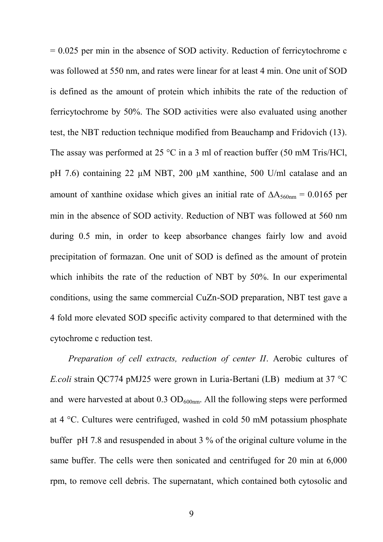= 0.025 per min in the absence of SOD activity. Reduction of ferricytochrome c was followed at 550 nm, and rates were linear for at least 4 min. One unit of SOD is defined as the amount of protein which inhibits the rate of the reduction of ferricytochrome by 50%. The SOD activities were also evaluated using another test, the NBT reduction technique modified from Beauchamp and Fridovich (13). The assay was performed at 25 °C in a 3 ml of reaction buffer (50 mM Tris/HCl, pH 7.6) containing 22  $\mu$ M NBT, 200  $\mu$ M xanthine, 500 U/ml catalase and an amount of xanthine oxidase which gives an initial rate of  $\Delta A_{560nm} = 0.0165$  per min in the absence of SOD activity. Reduction of NBT was followed at 560 nm during 0.5 min, in order to keep absorbance changes fairly low and avoid precipitation of formazan. One unit of SOD is defined as the amount of protein which inhibits the rate of the reduction of NBT by 50%. In our experimental conditions, using the same commercial CuZn-SOD preparation, NBT test gave a 4 fold more elevated SOD specific activity compared to that determined with the cytochrome c reduction test.

*Preparation of cell extracts, reduction of center II*. Aerobic cultures of *E.coli* strain QC774 pMJ25 were grown in Luria-Bertani (LB) medium at 37 °C and were harvested at about  $0.3 \text{ OD}_{600nm}$ . All the following steps were performed at 4 °C. Cultures were centrifuged, washed in cold 50 mM potassium phosphate buffer pH 7.8 and resuspended in about 3 % of the original culture volume in the same buffer. The cells were then sonicated and centrifuged for 20 min at 6,000 rpm, to remove cell debris. The supernatant, which contained both cytosolic and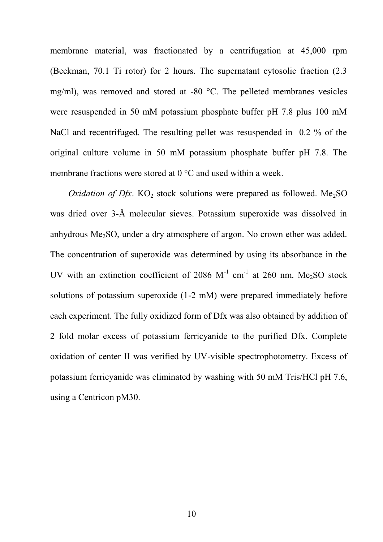membrane material, was fractionated by a centrifugation at 45,000 rpm (Beckman, 70.1 Ti rotor) for 2 hours. The supernatant cytosolic fraction (2.3 mg/ml), was removed and stored at -80 °C. The pelleted membranes vesicles were resuspended in 50 mM potassium phosphate buffer pH 7.8 plus 100 mM NaCl and recentrifuged. The resulting pellet was resuspended in 0.2 % of the original culture volume in 50 mM potassium phosphate buffer pH 7.8. The membrane fractions were stored at 0 °C and used within a week.

*Oxidation of Dfx*.  $KO<sub>2</sub>$  stock solutions were prepared as followed. Me<sub>2</sub>SO was dried over 3-Å molecular sieves. Potassium superoxide was dissolved in anhydrous Me2SO, under a dry atmosphere of argon. No crown ether was added. The concentration of superoxide was determined by using its absorbance in the UV with an extinction coefficient of 2086  $M^{-1}$  cm<sup>-1</sup> at 260 nm. Me<sub>2</sub>SO stock solutions of potassium superoxide (1-2 mM) were prepared immediately before each experiment. The fully oxidized form of Dfx was also obtained by addition of 2 fold molar excess of potassium ferricyanide to the purified Dfx. Complete oxidation of center II was verified by UV-visible spectrophotometry. Excess of potassium ferricyanide was eliminated by washing with 50 mM Tris/HCl pH 7.6, using a Centricon pM30.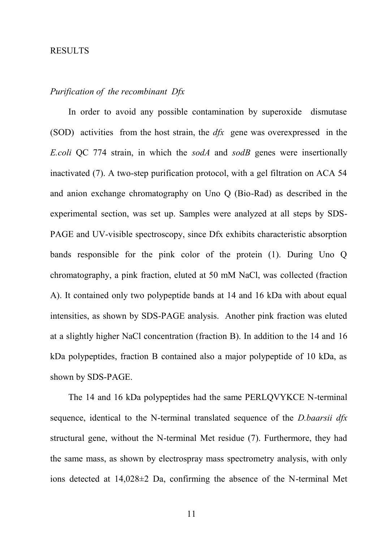#### RESULTS

## *Purification of the recombinant Dfx*

In order to avoid any possible contamination by superoxide dismutase (SOD) activities from the host strain, the *dfx* gene was overexpressed in the *E.coli* QC 774 strain, in which the *sodA* and *sodB* genes were insertionally inactivated (7). A two-step purification protocol, with a gel filtration on ACA 54 and anion exchange chromatography on Uno Q (Bio-Rad) as described in the experimental section, was set up. Samples were analyzed at all steps by SDS-PAGE and UV-visible spectroscopy, since Dfx exhibits characteristic absorption bands responsible for the pink color of the protein (1). During Uno Q chromatography, a pink fraction, eluted at 50 mM NaCl, was collected (fraction A). It contained only two polypeptide bands at 14 and 16 kDa with about equal intensities, as shown by SDS-PAGE analysis. Another pink fraction was eluted at a slightly higher NaCl concentration (fraction B). In addition to the 14 and 16 kDa polypeptides, fraction B contained also a major polypeptide of 10 kDa, as shown by SDS-PAGE.

The 14 and 16 kDa polypeptides had the same PERLQVYKCE N-terminal sequence, identical to the N-terminal translated sequence of the *D.baarsii dfx* structural gene, without the N-terminal Met residue (7). Furthermore, they had the same mass, as shown by electrospray mass spectrometry analysis, with only ions detected at 14,028±2 Da, confirming the absence of the N-terminal Met

11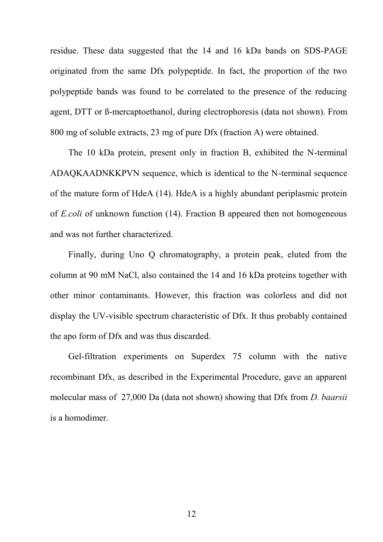residue. These data suggested that the 14 and 16 kDa bands on SDS-PAGE originated from the same Dfx polypeptide. In fact, the proportion of the two polypeptide bands was found to be correlated to the presence of the reducing agent, DTT or ß-mercaptoethanol, during electrophoresis (data not shown). From 800 mg of soluble extracts, 23 mg of pure Dfx (fraction A) were obtained.

The 10 kDa protein, present only in fraction B, exhibited the N-terminal ADAQKAADNKKPVN sequence, which is identical to the N-terminal sequence of the mature form of HdeA (14). HdeA is a highly abundant periplasmic protein of *E.coli* of unknown function (14). Fraction B appeared then not homogeneous and was not further characterized.

Finally, during Uno Q chromatography, a protein peak, eluted from the column at 90 mM NaCl, also contained the 14 and 16 kDa proteins together with other minor contaminants. However, this fraction was colorless and did not display the UV-visible spectrum characteristic of Dfx. It thus probably contained the apo form of Dfx and was thus discarded.

Gel-filtration experiments on Superdex 75 column with the native recombinant Dfx, as described in the Experimental Procedure, gave an apparent molecular mass of 27,000 Da (data not shown) showing that Dfx from *D. baarsii* is a homodimer.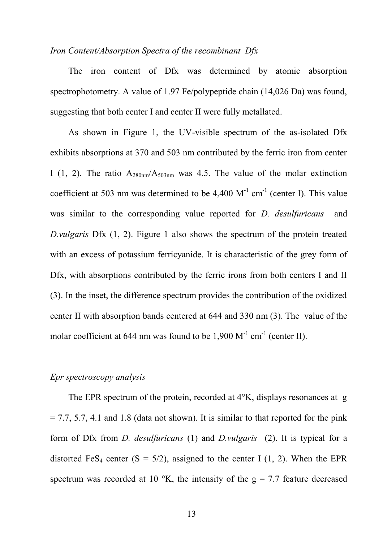#### *Iron Content/Absorption Spectra of the recombinant Dfx*

The iron content of Dfx was determined by atomic absorption spectrophotometry. A value of 1.97 Fe/polypeptide chain (14,026 Da) was found, suggesting that both center I and center II were fully metallated.

As shown in Figure 1, the UV-visible spectrum of the as-isolated Dfx exhibits absorptions at 370 and 503 nm contributed by the ferric iron from center I (1, 2). The ratio  $A_{280nm}/A_{503nm}$  was 4.5. The value of the molar extinction coefficient at 503 nm was determined to be  $4,400 \, \text{M}^{-1} \text{ cm}^{-1}$  (center I). This value was similar to the corresponding value reported for *D. desulfuricans* and *D.vulgaris* Dfx (1, 2). Figure 1 also shows the spectrum of the protein treated with an excess of potassium ferricyanide. It is characteristic of the grey form of Dfx, with absorptions contributed by the ferric irons from both centers I and II (3). In the inset, the difference spectrum provides the contribution of the oxidized center II with absorption bands centered at 644 and 330 nm (3). The value of the molar coefficient at 644 nm was found to be  $1,900 \, \text{M}^{-1} \, \text{cm}^{-1}$  (center II).

#### *Epr spectroscopy analysis*

The EPR spectrum of the protein, recorded at 4°K, displays resonances at g  $= 7.7, 5.7, 4.1$  and 1.8 (data not shown). It is similar to that reported for the pink form of Dfx from *D. desulfuricans* (1) and *D.vulgaris* (2). It is typical for a distorted FeS<sub>4</sub> center  $(S = 5/2)$ , assigned to the center I (1, 2). When the EPR spectrum was recorded at 10  $\,^{\circ}$ K, the intensity of the g = 7.7 feature decreased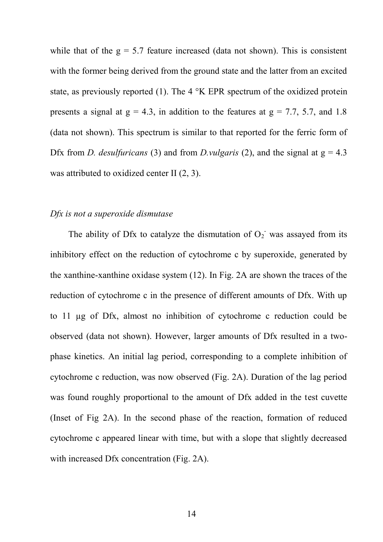while that of the  $g = 5.7$  feature increased (data not shown). This is consistent with the former being derived from the ground state and the latter from an excited state, as previously reported (1). The 4 °K EPR spectrum of the oxidized protein presents a signal at  $g = 4.3$ , in addition to the features at  $g = 7.7, 5.7,$  and 1.8 (data not shown). This spectrum is similar to that reported for the ferric form of Dfx from *D. desulfuricans* (3) and from *D.vulgaris* (2), and the signal at  $g = 4.3$ was attributed to oxidized center II  $(2, 3)$ .

#### *Dfx is not a superoxide dismutase*

The ability of Dfx to catalyze the dismutation of  $O_2$  was assayed from its inhibitory effect on the reduction of cytochrome c by superoxide, generated by the xanthine-xanthine oxidase system (12). In Fig. 2A are shown the traces of the reduction of cytochrome c in the presence of different amounts of Dfx. With up to 11 µg of Dfx, almost no inhibition of cytochrome c reduction could be observed (data not shown). However, larger amounts of Dfx resulted in a twophase kinetics. An initial lag period, corresponding to a complete inhibition of cytochrome c reduction, was now observed (Fig. 2A). Duration of the lag period was found roughly proportional to the amount of Dfx added in the test cuvette (Inset of Fig 2A). In the second phase of the reaction, formation of reduced cytochrome c appeared linear with time, but with a slope that slightly decreased with increased Dfx concentration (Fig. 2A).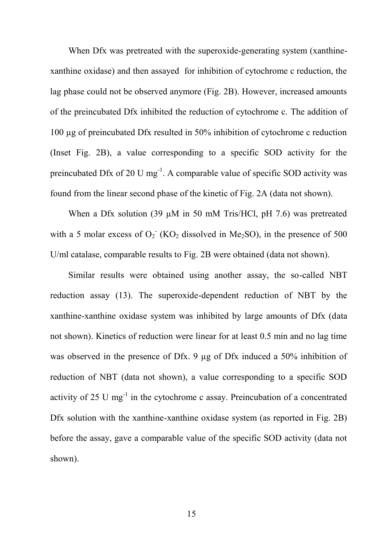When Dfx was pretreated with the superoxide-generating system (xanthinexanthine oxidase) and then assayed for inhibition of cytochrome c reduction, the lag phase could not be observed anymore (Fig. 2B). However, increased amounts of the preincubated Dfx inhibited the reduction of cytochrome c. The addition of 100 µg of preincubated Dfx resulted in 50% inhibition of cytochrome c reduction (Inset Fig. 2B), a value corresponding to a specific SOD activity for the preincubated Dfx of 20 U mg<sup>-1</sup>. A comparable value of specific SOD activity was found from the linear second phase of the kinetic of Fig. 2A (data not shown).

When a Dfx solution (39 µM in 50 mM Tris/HCl, pH 7.6) was pretreated with a 5 molar excess of  $O_2$ <sup>-</sup> (KO<sub>2</sub> dissolved in Me<sub>2</sub>SO), in the presence of 500 U/ml catalase, comparable results to Fig. 2B were obtained (data not shown).

Similar results were obtained using another assay, the so-called NBT reduction assay (13). The superoxide-dependent reduction of NBT by the xanthine-xanthine oxidase system was inhibited by large amounts of Dfx (data not shown). Kinetics of reduction were linear for at least 0.5 min and no lag time was observed in the presence of Dfx. 9 µg of Dfx induced a 50% inhibition of reduction of NBT (data not shown), a value corresponding to a specific SOD activity of 25 U mg<sup>-1</sup> in the cytochrome c assay. Preincubation of a concentrated Dfx solution with the xanthine-xanthine oxidase system (as reported in Fig. 2B) before the assay, gave a comparable value of the specific SOD activity (data not shown).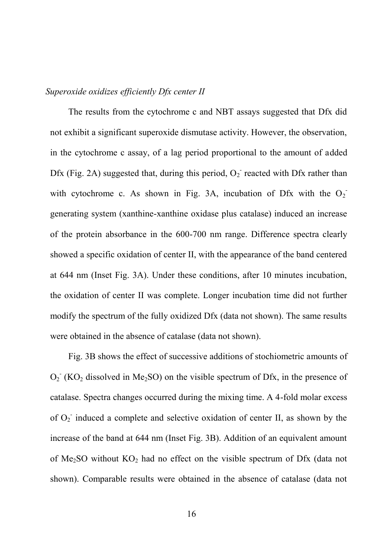#### *Superoxide oxidizes efficiently Dfx center II*

The results from the cytochrome c and NBT assays suggested that Dfx did not exhibit a significant superoxide dismutase activity. However, the observation, in the cytochrome c assay, of a lag period proportional to the amount of added Dfx (Fig. 2A) suggested that, during this period,  $O_2$  reacted with Dfx rather than with cytochrome c. As shown in Fig. 3A, incubation of Dfx with the  $O_2$ <sup>-</sup> generating system (xanthine-xanthine oxidase plus catalase) induced an increase of the protein absorbance in the 600-700 nm range. Difference spectra clearly showed a specific oxidation of center II, with the appearance of the band centered at 644 nm (Inset Fig. 3A). Under these conditions, after 10 minutes incubation, the oxidation of center II was complete. Longer incubation time did not further modify the spectrum of the fully oxidized Dfx (data not shown). The same results were obtained in the absence of catalase (data not shown).

Fig. 3B shows the effect of successive additions of stochiometric amounts of  $O_2$ <sup>-</sup> (KO<sub>2</sub> dissolved in Me<sub>2</sub>SO) on the visible spectrum of Dfx, in the presence of catalase. Spectra changes occurred during the mixing time. A 4-fold molar excess of  $O_2$  induced a complete and selective oxidation of center II, as shown by the increase of the band at 644 nm (Inset Fig. 3B). Addition of an equivalent amount of Me<sub>2</sub>SO without  $KO<sub>2</sub>$  had no effect on the visible spectrum of Dfx (data not shown). Comparable results were obtained in the absence of catalase (data not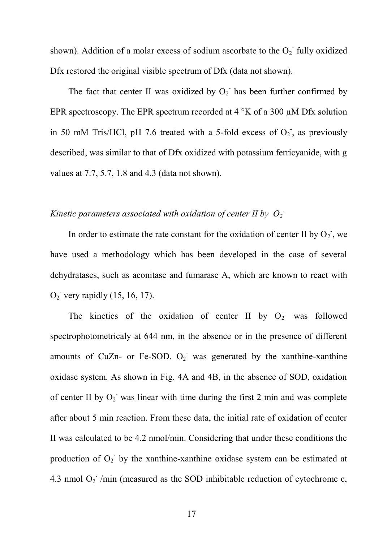shown). Addition of a molar excess of sodium ascorbate to the  $O_2$  fully oxidized Dfx restored the original visible spectrum of Dfx (data not shown).

The fact that center II was oxidized by  $O_2$  has been further confirmed by EPR spectroscopy. The EPR spectrum recorded at 4 °K of a 300 µM Dfx solution in 50 mM Tris/HCl, pH 7.6 treated with a 5-fold excess of  $O_2$ , as previously described, was similar to that of Dfx oxidized with potassium ferricyanide, with g values at 7.7, 5.7, 1.8 and 4.3 (data not shown).

## *Kinetic parameters associated with oxidation of center II by*  $O_2$ *<sup>-</sup>*

In order to estimate the rate constant for the oxidation of center II by  $O_2$ , we have used a methodology which has been developed in the case of several dehydratases, such as aconitase and fumarase A, which are known to react with  $O_2$ <sup>-</sup> very rapidly (15, 16, 17).

The kinetics of the oxidation of center II by  $O_2$  was followed spectrophotometricaly at 644 nm, in the absence or in the presence of different amounts of CuZn- or Fe-SOD.  $O_2$  was generated by the xanthine-xanthine oxidase system. As shown in Fig. 4A and 4B, in the absence of SOD, oxidation of center II by  $O_2$  was linear with time during the first 2 min and was complete after about 5 min reaction. From these data, the initial rate of oxidation of center II was calculated to be 4.2 nmol/min. Considering that under these conditions the production of  $O_2$  by the xanthine-xanthine oxidase system can be estimated at 4.3 nmol  $O_2$ <sup>-</sup>/min (measured as the SOD inhibitable reduction of cytochrome c,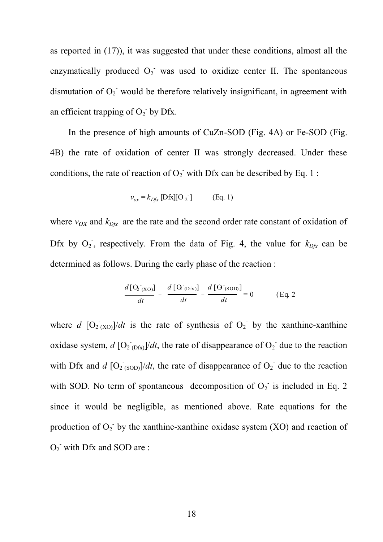as reported in (17)), it was suggested that under these conditions, almost all the enzymatically produced  $O_2$  was used to oxidize center II. The spontaneous dismutation of  $O_2$  would be therefore relatively insignificant, in agreement with an efficient trapping of  $O_2$ <sup>-</sup> by Dfx.

In the presence of high amounts of CuZn-SOD (Fig. 4A) or Fe-SOD (Fig. 4B) the rate of oxidation of center II was strongly decreased. Under these conditions, the rate of reaction of  $O_2$  with Dfx can be described by Eq. 1:

$$
v_{ox} = k_{Dfx} [\text{Dfx}][\text{O}_2] \quad (\text{Eq. 1})
$$

where  $v_{OX}$  and  $k_{Dfx}$  are the rate and the second order rate constant of oxidation of Dfx by  $O_2$ , respectively. From the data of Fig. 4, the value for  $k_{Dfx}$  can be determined as follows. During the early phase of the reaction :

$$
\frac{d\left[\mathbf{Q}_{\text{XO}}\right]}{dt} - \frac{d\left[\mathbf{Q}_{\text{Ofx}}\right]}{dt} - \frac{d\left[\mathbf{Q}_{\text{SOD}}\right]}{dt} = 0
$$
 (Eq. 2)

where *d*  $[O_2(x_0)]$ *dt* is the rate of synthesis of  $O_2$  by the xanthine-xanthine oxidase system,  $d$   $[O_2]_{(Dfx)}$ /*dt*, the rate of disappearance of  $O_2$ <sup>-</sup> due to the reaction with Dfx and  $d$   $[O_2$ <sub>(SOD)</sub> $/dt$ , the rate of disappearance of  $O_2$ <sup>-</sup> due to the reaction with SOD. No term of spontaneous decomposition of  $O_2$  is included in Eq. 2 since it would be negligible, as mentioned above. Rate equations for the production of  $O_2$ <sup>-</sup> by the xanthine-xanthine oxidase system (XO) and reaction of  $O_2$  with Dfx and SOD are :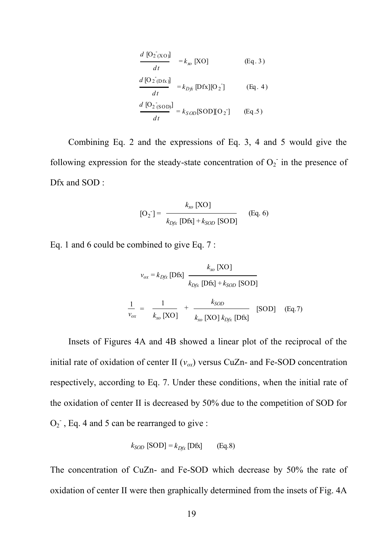$$
\frac{d\left[O_{2}\left(XO\right)\right]}{dt} = k_{xo}\left[XO\right] \qquad (Eq. 3)
$$
\n
$$
\frac{d\left[O_{2}\left(O_{2}\right)\right]}{dt} = k_{D\hat{K}}\left[Dfx\right]\left[O_{2}\right] \qquad (Eq. 4)
$$
\n
$$
\frac{d\left[O_{2}\left(SOD\right)\right]}{dt} = k_{SOD}\left[SOD\right]\left[O_{2}\right] \qquad (Eq. 5)
$$

Combining Eq. 2 and the expressions of Eq. 3, 4 and 5 would give the following expression for the steady-state concentration of  $O_2$  in the presence of Dfx and SOD :

$$
[O_2] = \frac{k_{xo} [XO]}{k_{Dfx} [Dfx] + k_{SOD} [SOD]}
$$
 (Eq. 6)

Eq. 1 and 6 could be combined to give Eq. 7 :

$$
v_{ox} = k_{Dfx} [\text{Dfx}] \frac{k_{xo} [\text{XO}]}{k_{Dfx} [\text{Dfx}] + k_{SOD} [\text{SOD}]}
$$
  

$$
\frac{1}{v_{ox}} = \frac{1}{k_{xo} [\text{XO}]} + \frac{k_{SOD}}{k_{xo} [\text{XO}] k_{Dfx} [\text{Dfx}]} [\text{SOD}] \quad (\text{Eq.7})
$$

Insets of Figures 4A and 4B showed a linear plot of the reciprocal of the initial rate of oxidation of center II  $(v_{ox})$  versus CuZn- and Fe-SOD concentration respectively, according to Eq. 7. Under these conditions, when the initial rate of the oxidation of center II is decreased by 50% due to the competition of SOD for  $O_2$ , Eq. 4 and 5 can be rearranged to give:

$$
k_{SOD} \text{ [SOD]} = k_{Dfx} \text{ [Dfx]} \qquad \text{(Eq.8)}
$$

The concentration of CuZn- and Fe-SOD which decrease by 50% the rate of oxidation of center II were then graphically determined from the insets of Fig. 4A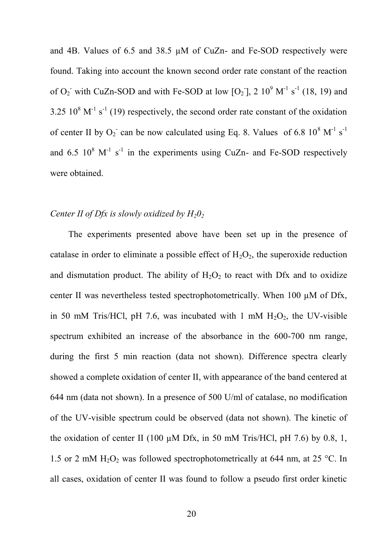and 4B. Values of 6.5 and 38.5 µM of CuZn- and Fe-SOD respectively were found. Taking into account the known second order rate constant of the reaction of  $O_2$  with CuZn-SOD and with Fe-SOD at low  $[O_2]$ , 2  $10^9$  M<sup>-1</sup> s<sup>-1</sup> (18, 19) and 3.25  $10^8$  M<sup>-1</sup> s<sup>-1</sup> (19) respectively, the second order rate constant of the oxidation of center II by  $O_2$  can be now calculated using Eq. 8. Values of 6.8  $10^8$  M<sup>-1</sup> s<sup>-1</sup> and 6.5  $10^8$  M<sup>-1</sup> s<sup>-1</sup> in the experiments using CuZn- and Fe-SOD respectively were obtained.

#### *Center II of Dfx is slowly oxidized by H20<sup>2</sup>*

The experiments presented above have been set up in the presence of catalase in order to eliminate a possible effect of  $H_2O_2$ , the superoxide reduction and dismutation product. The ability of  $H_2O_2$  to react with Dfx and to oxidize center II was nevertheless tested spectrophotometrically. When 100 µM of Dfx, in 50 mM Tris/HCl, pH 7.6, was incubated with 1 mM  $H_2O_2$ , the UV-visible spectrum exhibited an increase of the absorbance in the 600-700 nm range, during the first 5 min reaction (data not shown). Difference spectra clearly showed a complete oxidation of center II, with appearance of the band centered at 644 nm (data not shown). In a presence of 500 U/ml of catalase, no modification of the UV-visible spectrum could be observed (data not shown). The kinetic of the oxidation of center II (100 µM Dfx, in 50 mM Tris/HCl, pH 7.6) by 0.8, 1, 1.5 or 2 mM  $H_2O_2$  was followed spectrophotometrically at 644 nm, at 25 °C. In all cases, oxidation of center II was found to follow a pseudo first order kinetic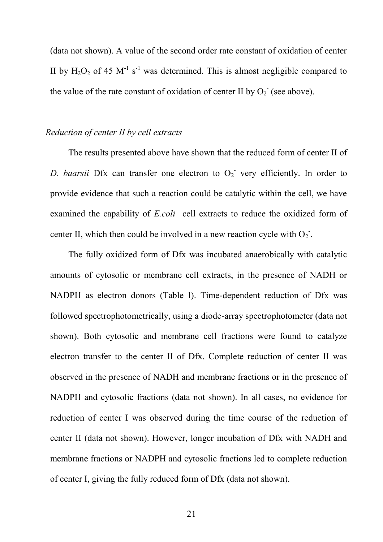(data not shown). A value of the second order rate constant of oxidation of center II by  $H_2O_2$  of 45 M<sup>-1</sup> s<sup>-1</sup> was determined. This is almost negligible compared to the value of the rate constant of oxidation of center II by  $O_2$ <sup>-</sup> (see above).

#### *Reduction of center II by cell extracts*

The results presented above have shown that the reduced form of center II of D. baarsii Dfx can transfer one electron to  $O_2$ <sup>-</sup> very efficiently. In order to provide evidence that such a reaction could be catalytic within the cell, we have examined the capability of *E.coli* cell extracts to reduce the oxidized form of center II, which then could be involved in a new reaction cycle with  $O_2$ .

The fully oxidized form of Dfx was incubated anaerobically with catalytic amounts of cytosolic or membrane cell extracts, in the presence of NADH or NADPH as electron donors (Table I). Time-dependent reduction of Dfx was followed spectrophotometrically, using a diode-array spectrophotometer (data not shown). Both cytosolic and membrane cell fractions were found to catalyze electron transfer to the center II of Dfx. Complete reduction of center II was observed in the presence of NADH and membrane fractions or in the presence of NADPH and cytosolic fractions (data not shown). In all cases, no evidence for reduction of center I was observed during the time course of the reduction of center II (data not shown). However, longer incubation of Dfx with NADH and membrane fractions or NADPH and cytosolic fractions led to complete reduction of center I, giving the fully reduced form of Dfx (data not shown).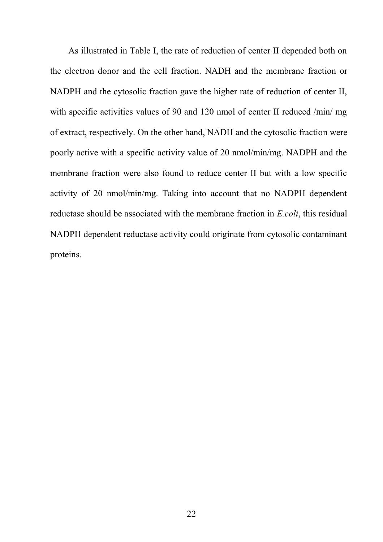As illustrated in Table I, the rate of reduction of center II depended both on the electron donor and the cell fraction. NADH and the membrane fraction or NADPH and the cytosolic fraction gave the higher rate of reduction of center II, with specific activities values of 90 and 120 nmol of center II reduced /min/ mg of extract, respectively. On the other hand, NADH and the cytosolic fraction were poorly active with a specific activity value of 20 nmol/min/mg. NADPH and the membrane fraction were also found to reduce center II but with a low specific activity of 20 nmol/min/mg. Taking into account that no NADPH dependent reductase should be associated with the membrane fraction in *E.coli*, this residual NADPH dependent reductase activity could originate from cytosolic contaminant proteins.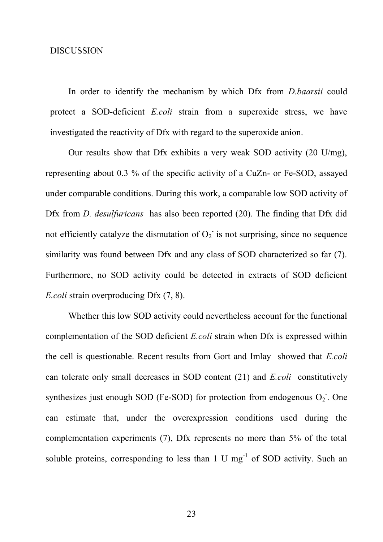#### DISCUSSION

In order to identify the mechanism by which Dfx from *D.baarsii* could protect a SOD-deficient *E.coli* strain from a superoxide stress, we have investigated the reactivity of Dfx with regard to the superoxide anion.

Our results show that Dfx exhibits a very weak SOD activity (20 U/mg), representing about 0.3 % of the specific activity of a CuZn- or Fe-SOD, assayed under comparable conditions. During this work, a comparable low SOD activity of Dfx from *D. desulfuricans* has also been reported (20). The finding that Dfx did not efficiently catalyze the dismutation of  $O_2$  is not surprising, since no sequence similarity was found between Dfx and any class of SOD characterized so far (7). Furthermore, no SOD activity could be detected in extracts of SOD deficient *E.coli* strain overproducing Dfx (7, 8).

Whether this low SOD activity could nevertheless account for the functional complementation of the SOD deficient *E.coli* strain when Dfx is expressed within the cell is questionable. Recent results from Gort and Imlay showed that *E.coli* can tolerate only small decreases in SOD content (21) and *E.coli* constitutively synthesizes just enough SOD (Fe-SOD) for protection from endogenous  $O_2$ . One can estimate that, under the overexpression conditions used during the complementation experiments (7), Dfx represents no more than 5% of the total soluble proteins, corresponding to less than  $1 \text{ U mg}^{-1}$  of SOD activity. Such an

23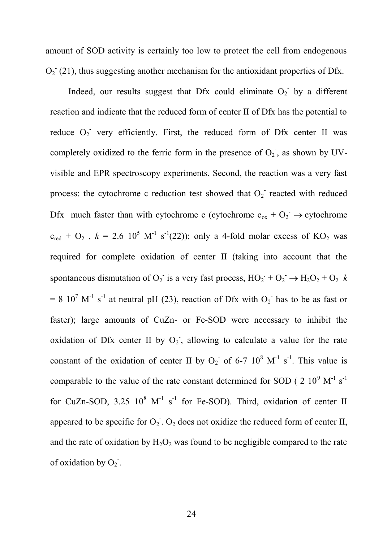amount of SOD activity is certainly too low to protect the cell from endogenous  $O_2$ <sup>-</sup> (21), thus suggesting another mechanism for the antioxidant properties of Dfx.

Indeed, our results suggest that Dfx could eliminate  $O_2$  by a different reaction and indicate that the reduced form of center II of Dfx has the potential to reduce  $O_2$  very efficiently. First, the reduced form of Dfx center II was completely oxidized to the ferric form in the presence of  $O_2$ , as shown by UVvisible and EPR spectroscopy experiments. Second, the reaction was a very fast process: the cytochrome c reduction test showed that  $O_2$  reacted with reduced Dfx much faster than with cytochrome c (cytochrome  $c_{ox} + O_2^- \rightarrow$  cytochrome  $c_{\text{red}} + O_2$ ,  $k = 2.6 \ 10^5 \ \text{M}^{-1} \ \text{s}^{-1}(22)$ ); only a 4-fold molar excess of KO<sub>2</sub> was required for complete oxidation of center II (taking into account that the spontaneous dismutation of  $O_2$  is a very fast process,  $HO_2 + O_2 \rightarrow H_2O_2 + O_2$  *k*  $= 8 \times 10^7 \text{ M}^{-1} \text{ s}^{-1}$  at neutral pH (23), reaction of Dfx with O<sub>2</sub> has to be as fast or faster); large amounts of CuZn- or Fe-SOD were necessary to inhibit the oxidation of Dfx center II by  $O_2$ , allowing to calculate a value for the rate constant of the oxidation of center II by  $O_2$  of 6-7  $10^8$  M<sup>-1</sup> s<sup>-1</sup>. This value is comparable to the value of the rate constant determined for SOD ( $2 \ 10^9 \ M^{-1} \ s^{-1}$ for CuZn-SOD,  $3.25 \, 10^8 \, \text{M}^{-1} \, \text{s}^{-1}$  for Fe-SOD). Third, oxidation of center II appeared to be specific for  $O_2$ .  $O_2$  does not oxidize the reduced form of center II, and the rate of oxidation by  $H_2O_2$  was found to be negligible compared to the rate of oxidation by  $O_2$ .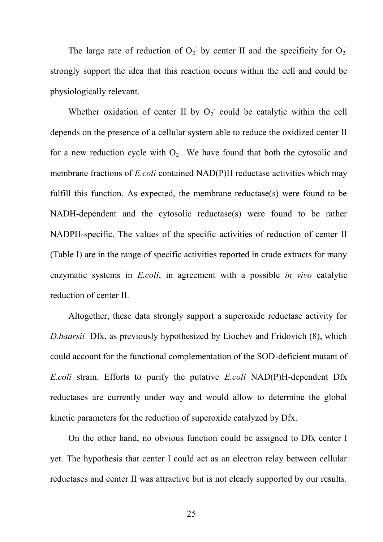The large rate of reduction of  $O_2$  by center II and the specificity for  $O_2$ strongly support the idea that this reaction occurs within the cell and could be physiologically relevant.

Whether oxidation of center II by  $O_2$  could be catalytic within the cell depends on the presence of a cellular system able to reduce the oxidized center II for a new reduction cycle with  $O_2$ . We have found that both the cytosolic and membrane fractions of *E.coli* contained NAD(P)H reductase activities which may fulfill this function. As expected, the membrane reductase(s) were found to be NADH-dependent and the cytosolic reductase(s) were found to be rather NADPH-specific. The values of the specific activities of reduction of center II (Table I) are in the range of specific activities reported in crude extracts for many enzymatic systems in *E.coli*, in agreement with a possible *in vivo* catalytic reduction of center II.

Altogether, these data strongly support a superoxide reductase activity for *D.baarsii* Dfx, as previously hypothesized by Liochev and Fridovich (8), which could account for the functional complementation of the SOD-deficient mutant of *E.coli* strain. Efforts to purify the putative *E.coli* NAD(P)H-dependent Dfx reductases are currently under way and would allow to determine the global kinetic parameters for the reduction of superoxide catalyzed by Dfx.

On the other hand, no obvious function could be assigned to Dfx center I yet. The hypothesis that center I could act as an electron relay between cellular reductases and center II was attractive but is not clearly supported by our results.

25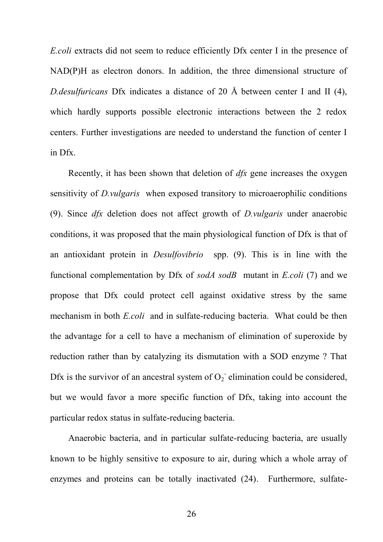*E.coli* extracts did not seem to reduce efficiently Dfx center I in the presence of NAD(P)H as electron donors. In addition, the three dimensional structure of *D.desulfuricans* Dfx indicates a distance of 20 Å between center I and II (4), which hardly supports possible electronic interactions between the 2 redox centers. Further investigations are needed to understand the function of center I in Dfx.

Recently, it has been shown that deletion of *dfx* gene increases the oxygen sensitivity of *D.vulgaris* when exposed transitory to microaerophilic conditions (9). Since *dfx* deletion does not affect growth of *D.vulgaris* under anaerobic conditions, it was proposed that the main physiological function of Dfx is that of an antioxidant protein in *Desulfovibrio* spp. (9). This is in line with the functional complementation by Dfx of *sodA sodB* mutant in *E.coli* (7) and we propose that Dfx could protect cell against oxidative stress by the same mechanism in both *E.coli* and in sulfate-reducing bacteria. What could be then the advantage for a cell to have a mechanism of elimination of superoxide by reduction rather than by catalyzing its dismutation with a SOD enzyme ? That Dfx is the survivor of an ancestral system of  $O_2$  elimination could be considered, but we would favor a more specific function of Dfx, taking into account the particular redox status in sulfate-reducing bacteria.

Anaerobic bacteria, and in particular sulfate-reducing bacteria, are usually known to be highly sensitive to exposure to air, during which a whole array of enzymes and proteins can be totally inactivated (24). Furthermore, sulfate-

26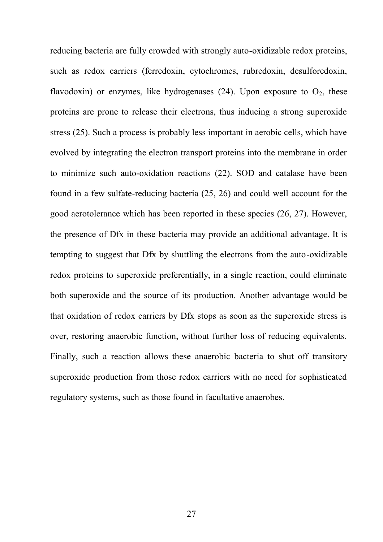reducing bacteria are fully crowded with strongly auto-oxidizable redox proteins, such as redox carriers (ferredoxin, cytochromes, rubredoxin, desulforedoxin, flavodoxin) or enzymes, like hydrogenases (24). Upon exposure to  $O_2$ , these proteins are prone to release their electrons, thus inducing a strong superoxide stress (25). Such a process is probably less important in aerobic cells, which have evolved by integrating the electron transport proteins into the membrane in order to minimize such auto-oxidation reactions (22). SOD and catalase have been found in a few sulfate-reducing bacteria (25, 26) and could well account for the good aerotolerance which has been reported in these species (26, 27). However, the presence of Dfx in these bacteria may provide an additional advantage. It is tempting to suggest that Dfx by shuttling the electrons from the auto-oxidizable redox proteins to superoxide preferentially, in a single reaction, could eliminate both superoxide and the source of its production. Another advantage would be that oxidation of redox carriers by Dfx stops as soon as the superoxide stress is over, restoring anaerobic function, without further loss of reducing equivalents. Finally, such a reaction allows these anaerobic bacteria to shut off transitory superoxide production from those redox carriers with no need for sophisticated regulatory systems, such as those found in facultative anaerobes.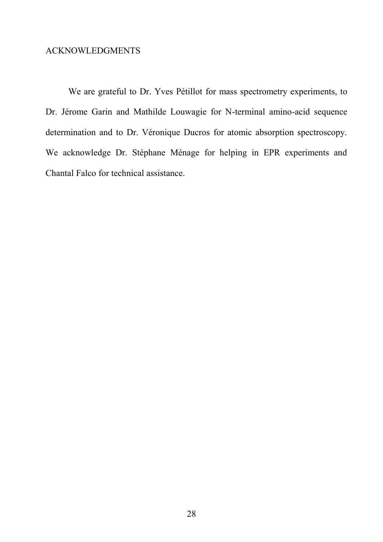### ACKNOWLEDGMENTS

We are grateful to Dr. Yves Pétillot for mass spectrometry experiments, to Dr. Jérome Garin and Mathilde Louwagie for N-terminal amino-acid sequence determination and to Dr. Véronique Ducros for atomic absorption spectroscopy. We acknowledge Dr. Stéphane Ménage for helping in EPR experiments and Chantal Falco for technical assistance.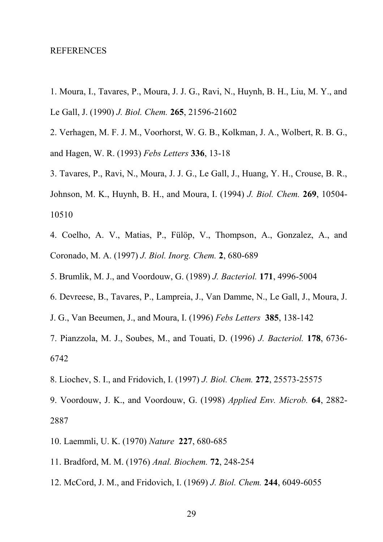#### REFERENCES

- 1. Moura, I., Tavares, P., Moura, J. J. G., Ravi, N., Huynh, B. H., Liu, M. Y., and Le Gall, J. (1990) *J. Biol. Chem.* **265**, 21596-21602
- 2. Verhagen, M. F. J. M., Voorhorst, W. G. B., Kolkman, J. A., Wolbert, R. B. G., and Hagen, W. R. (1993) *Febs Letters* **336**, 13-18
- 3. Tavares, P., Ravi, N., Moura, J. J. G., Le Gall, J., Huang, Y. H., Crouse, B. R., Johnson, M. K., Huynh, B. H., and Moura, I. (1994) *J. Biol. Chem.* **269**, 10504- 10510
- 4. Coelho, A. V., Matias, P., Fülöp, V., Thompson, A., Gonzalez, A., and Coronado, M. A. (1997) *J. Biol. Inorg. Chem.* **2**, 680-689
- 5. Brumlik, M. J., and Voordouw, G. (1989) *J. Bacteriol.* **171**, 4996-5004
- 6. Devreese, B., Tavares, P., Lampreia, J., Van Damme, N., Le Gall, J., Moura, J.
- J. G., Van Beeumen, J., and Moura, I. (1996) *Febs Letters* **385**, 138-142
- 7. Pianzzola, M. J., Soubes, M., and Touati, D. (1996) *J. Bacteriol.* **178**, 6736- 6742
- 8. Liochev, S. I., and Fridovich, I. (1997) *J. Biol. Chem.* **272**, 25573-25575
- 9. Voordouw, J. K., and Voordouw, G. (1998) *Applied Env. Microb.* **64**, 2882- 2887
- 10. Laemmli, U. K. (1970) *Nature* **227**, 680-685
- 11. Bradford, M. M. (1976) *Anal. Biochem.* **72**, 248-254
- 12. McCord, J. M., and Fridovich, I. (1969) *J. Biol. Chem.* **244**, 6049-6055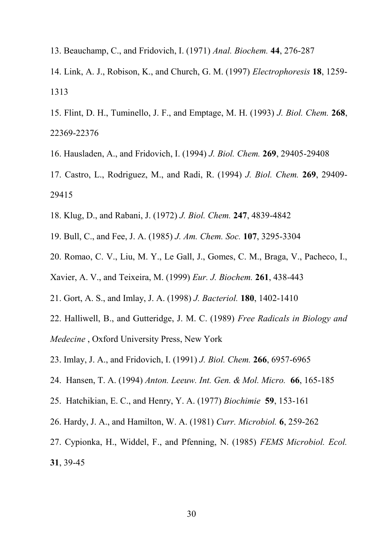- 13. Beauchamp, C., and Fridovich, I. (1971) *Anal. Biochem.* **44**, 276-287
- 14. Link, A. J., Robison, K., and Church, G. M. (1997) *Electrophoresis* **18**, 1259- 1313
- 15. Flint, D. H., Tuminello, J. F., and Emptage, M. H. (1993) *J. Biol. Chem.* **268**, 22369-22376
- 16. Hausladen, A., and Fridovich, I. (1994) *J. Biol. Chem.* **269**, 29405-29408
- 17. Castro, L., Rodriguez, M., and Radi, R. (1994) *J. Biol. Chem.* **269**, 29409- 29415
- 18. Klug, D., and Rabani, J. (1972) *J. Biol. Chem.* **247**, 4839-4842
- 19. Bull, C., and Fee, J. A. (1985) *J. Am. Chem. Soc.* **107**, 3295-3304
- 20. Romao, C. V., Liu, M. Y., Le Gall, J., Gomes, C. M., Braga, V., Pacheco, I.,
- Xavier, A. V., and Teixeira, M. (1999) *Eur. J. Biochem.* **261**, 438-443
- 21. Gort, A. S., and Imlay, J. A. (1998) *J. Bacteriol.* **180**, 1402-1410
- 22. Halliwell, B., and Gutteridge, J. M. C. (1989) *Free Radicals in Biology and Medecine* , Oxford University Press, New York
- 23. Imlay, J. A., and Fridovich, I. (1991) *J. Biol. Chem.* **266**, 6957-6965
- 24. Hansen, T. A. (1994) *Anton. Leeuw. Int. Gen. & Mol. Micro.* **66**, 165-185
- 25. Hatchikian, E. C., and Henry, Y. A. (1977) *Biochimie* **59**, 153-161
- 26. Hardy, J. A., and Hamilton, W. A. (1981) *Curr. Microbiol.* **6**, 259-262
- 27. Cypionka, H., Widdel, F., and Pfenning, N. (1985) *FEMS Microbiol. Ecol.* **31**, 39-45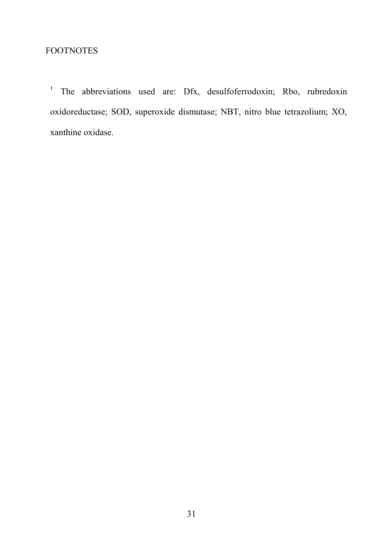## FOOTNOTES

1 The abbreviations used are: Dfx, desulfoferrodoxin; Rbo, rubredoxin oxidoreductase; SOD, superoxide dismutase; NBT, nitro blue tetrazolium; XO, xanthine oxidase.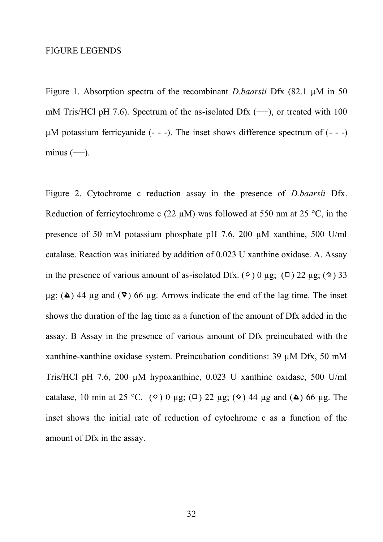#### FIGURE LEGENDS

Figure 1. Absorption spectra of the recombinant *D.baarsii* Dfx (82.1 µM in 50 mM Tris/HCl pH 7.6). Spectrum of the as-isolated Dfx  $(-)$ , or treated with 100  $\mu$ M potassium ferricyanide (- - -). The inset shows difference spectrum of (- - -) minus  $(-)$ .

Figure 2. Cytochrome c reduction assay in the presence of *D.baarsii* Dfx. Reduction of ferricytochrome c (22  $\mu$ M) was followed at 550 nm at 25 °C, in the presence of 50 mM potassium phosphate pH 7.6, 200 µM xanthine, 500 U/ml catalase. Reaction was initiated by addition of 0.023 U xanthine oxidase. A. Assay in the presence of various amount of as-isolated Dfx. ( $\circ$ ) 0 µg; ( $\circ$ ) 22 µg; ( $\circ$ ) 33  $\mu$ g; ( $\Delta$ ) 44  $\mu$ g and ( $\nabla$ ) 66  $\mu$ g. Arrows indicate the end of the lag time. The inset shows the duration of the lag time as a function of the amount of Dfx added in the assay. B Assay in the presence of various amount of Dfx preincubated with the xanthine-xanthine oxidase system. Preincubation conditions: 39 µM Dfx, 50 mM Tris/HCl pH 7.6, 200 µM hypoxanthine, 0.023 U xanthine oxidase, 500 U/ml catalase, 10 min at 25 °C. ( $\circ$ ) 0 µg; ( $\Box$ ) 22 µg; ( $\circ$ ) 44 µg and ( $\triangle$ ) 66 µg. The inset shows the initial rate of reduction of cytochrome c as a function of the amount of Dfx in the assay.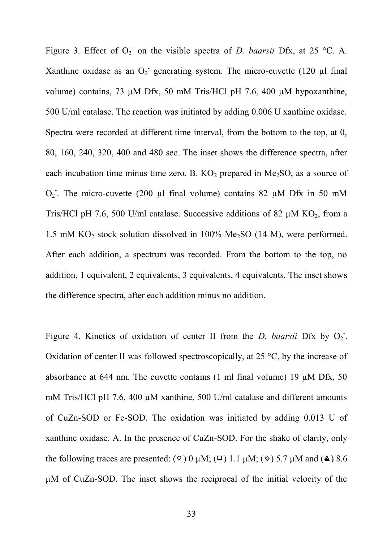Figure 3. Effect of  $O_2$  on the visible spectra of *D. baarsii* Dfx, at 25 °C. A. Xanthine oxidase as an  $O_2$  generating system. The micro-cuvette (120  $\mu$ l final volume) contains, 73 µM Dfx, 50 mM Tris/HCl pH 7.6, 400 µM hypoxanthine, 500 U/ml catalase. The reaction was initiated by adding 0.006 U xanthine oxidase. Spectra were recorded at different time interval, from the bottom to the top, at 0, 80, 160, 240, 320, 400 and 480 sec. The inset shows the difference spectra, after each incubation time minus time zero. B.  $KO<sub>2</sub>$  prepared in Me<sub>2</sub>SO, as a source of  $O_2$ . The micro-cuvette (200 µl final volume) contains 82 µM Dfx in 50 mM Tris/HCl pH 7.6, 500 U/ml catalase. Successive additions of 82  $\mu$ M KO<sub>2</sub>, from a 1.5 mM  $KO<sub>2</sub>$  stock solution dissolved in 100% Me<sub>2</sub>SO (14 M), were performed. After each addition, a spectrum was recorded. From the bottom to the top, no addition, 1 equivalent, 2 equivalents, 3 equivalents, 4 equivalents. The inset shows the difference spectra, after each addition minus no addition.

Figure 4. Kinetics of oxidation of center II from the *D. baarsii* Dfx by  $O_2$ . Oxidation of center II was followed spectroscopically, at 25 °C, by the increase of absorbance at 644 nm. The cuvette contains  $(1 \text{ ml final volume})$  19  $\mu$ M Dfx, 50 mM Tris/HCl pH 7.6, 400  $\mu$ M xanthine, 500 U/ml catalase and different amounts of CuZn-SOD or Fe-SOD. The oxidation was initiated by adding 0.013 U of xanthine oxidase. A. In the presence of CuZn-SOD. For the shake of clarity, only the following traces are presented:  $(0)$  0  $\mu$ M;  $(\square)$  1.1  $\mu$ M;  $(\diamond)$  5.7  $\mu$ M and ( $\triangle$ ) 8.6 µM of CuZn-SOD. The inset shows the reciprocal of the initial velocity of the